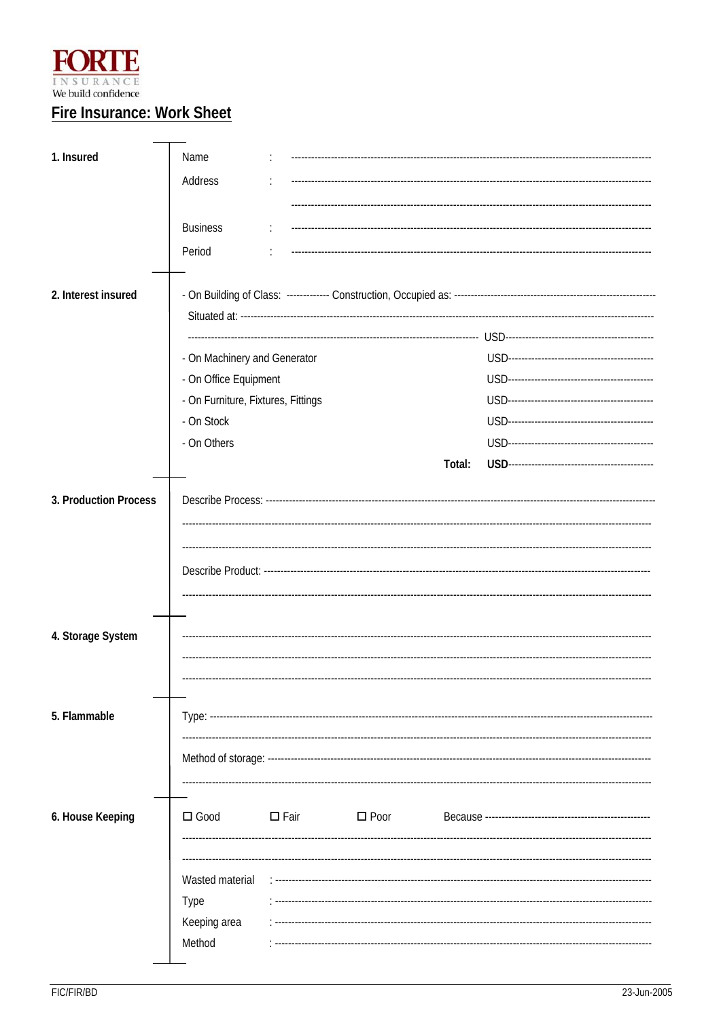

# **Fire Insurance: Work Sheet**

| 1. Insured            | Name                                                  |             |                |        |  |  |  |  |
|-----------------------|-------------------------------------------------------|-------------|----------------|--------|--|--|--|--|
|                       | Address                                               |             |                |        |  |  |  |  |
|                       |                                                       |             |                |        |  |  |  |  |
|                       | <b>Business</b>                                       |             |                |        |  |  |  |  |
|                       | Period                                                |             |                |        |  |  |  |  |
| 2. Interest insured   |                                                       |             |                |        |  |  |  |  |
|                       |                                                       |             |                |        |  |  |  |  |
|                       | - On Machinery and Generator<br>- On Office Equipment |             |                |        |  |  |  |  |
|                       | - On Furniture, Fixtures, Fittings                    |             |                |        |  |  |  |  |
|                       | - On Stock                                            |             |                |        |  |  |  |  |
|                       | - On Others                                           |             |                |        |  |  |  |  |
|                       |                                                       |             |                | Total: |  |  |  |  |
| 3. Production Process |                                                       |             |                |        |  |  |  |  |
|                       |                                                       |             |                |        |  |  |  |  |
| 4. Storage System     |                                                       |             |                |        |  |  |  |  |
|                       |                                                       |             |                |        |  |  |  |  |
| 5. Flammable          | Type: --------------------                            |             |                |        |  |  |  |  |
|                       |                                                       |             |                |        |  |  |  |  |
| 6. House Keeping      | $\square$ Good                                        | $\Box$ Fair | $\square$ Poor |        |  |  |  |  |
|                       | Wasted material<br>Type<br>Keeping area<br>Method     |             |                |        |  |  |  |  |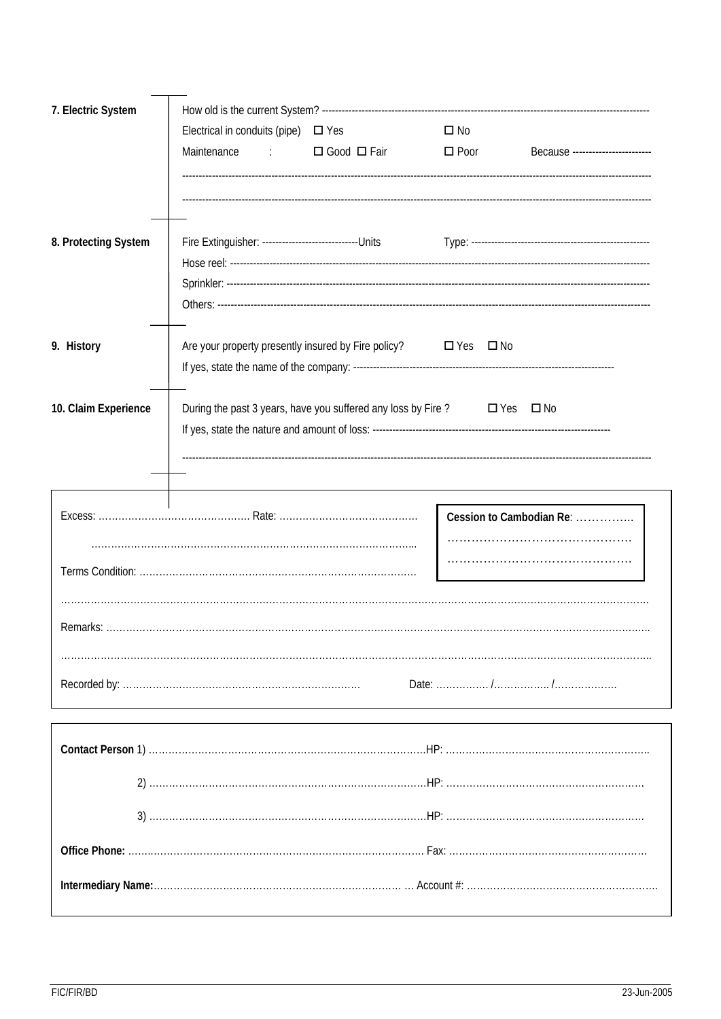| 7. Electric System   |                                                                                          |               |                          |                                  |  |  |  |  |  |
|----------------------|------------------------------------------------------------------------------------------|---------------|--------------------------|----------------------------------|--|--|--|--|--|
|                      | Electrical in conduits (pipe) $\Box$ Yes                                                 |               | $\square$ No             |                                  |  |  |  |  |  |
|                      | Maintenance<br><b>Controller</b>                                                         | □ Good □ Fair | $\Box$ Poor              | Because ------------------------ |  |  |  |  |  |
|                      |                                                                                          |               |                          |                                  |  |  |  |  |  |
|                      |                                                                                          |               |                          |                                  |  |  |  |  |  |
|                      |                                                                                          |               |                          |                                  |  |  |  |  |  |
| 8. Protecting System |                                                                                          |               |                          |                                  |  |  |  |  |  |
|                      |                                                                                          |               |                          |                                  |  |  |  |  |  |
|                      |                                                                                          |               |                          |                                  |  |  |  |  |  |
|                      |                                                                                          |               |                          |                                  |  |  |  |  |  |
|                      |                                                                                          |               |                          |                                  |  |  |  |  |  |
| 9. History           | Are your property presently insured by Fire policy? □ Yes □ No                           |               |                          |                                  |  |  |  |  |  |
|                      |                                                                                          |               |                          |                                  |  |  |  |  |  |
| 10. Claim Experience |                                                                                          |               |                          |                                  |  |  |  |  |  |
|                      | During the past 3 years, have you suffered any loss by Fire ? $\square$ Yes $\square$ No |               |                          |                                  |  |  |  |  |  |
|                      |                                                                                          |               |                          |                                  |  |  |  |  |  |
|                      |                                                                                          |               |                          |                                  |  |  |  |  |  |
|                      |                                                                                          |               |                          |                                  |  |  |  |  |  |
|                      |                                                                                          |               | Cession to Cambodian Re: |                                  |  |  |  |  |  |
|                      |                                                                                          |               |                          |                                  |  |  |  |  |  |
|                      |                                                                                          |               |                          |                                  |  |  |  |  |  |
|                      |                                                                                          |               |                          |                                  |  |  |  |  |  |
|                      |                                                                                          |               |                          |                                  |  |  |  |  |  |
|                      |                                                                                          |               |                          |                                  |  |  |  |  |  |
|                      |                                                                                          |               |                          |                                  |  |  |  |  |  |
|                      |                                                                                          |               |                          |                                  |  |  |  |  |  |
|                      |                                                                                          |               |                          |                                  |  |  |  |  |  |
|                      |                                                                                          |               |                          |                                  |  |  |  |  |  |
|                      |                                                                                          |               |                          |                                  |  |  |  |  |  |
|                      |                                                                                          |               |                          |                                  |  |  |  |  |  |
|                      |                                                                                          |               |                          |                                  |  |  |  |  |  |
|                      |                                                                                          |               |                          |                                  |  |  |  |  |  |
|                      |                                                                                          |               |                          |                                  |  |  |  |  |  |
|                      |                                                                                          |               |                          |                                  |  |  |  |  |  |
|                      |                                                                                          |               |                          |                                  |  |  |  |  |  |
|                      |                                                                                          |               |                          |                                  |  |  |  |  |  |
|                      |                                                                                          |               |                          |                                  |  |  |  |  |  |